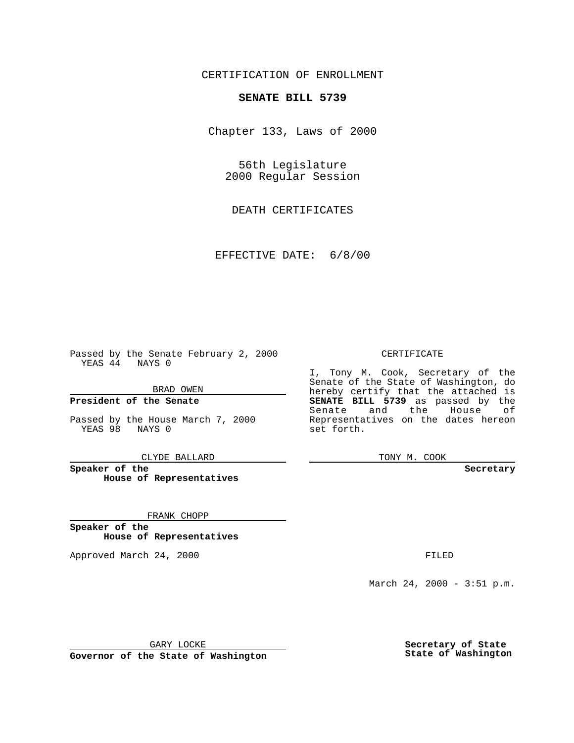### CERTIFICATION OF ENROLLMENT

# **SENATE BILL 5739**

Chapter 133, Laws of 2000

56th Legislature 2000 Regular Session

DEATH CERTIFICATES

EFFECTIVE DATE: 6/8/00

Passed by the Senate February 2, 2000 YEAS 44 NAYS 0

BRAD OWEN

**President of the Senate**

Passed by the House March 7, 2000 YEAS 98 NAYS 0

CLYDE BALLARD

**Speaker of the House of Representatives**

FRANK CHOPP

**Speaker of the House of Representatives**

Approved March 24, 2000 FILED

### CERTIFICATE

I, Tony M. Cook, Secretary of the Senate of the State of Washington, do hereby certify that the attached is **SENATE BILL 5739** as passed by the Senate and the House of Representatives on the dates hereon set forth.

TONY M. COOK

#### **Secretary**

March 24, 2000 - 3:51 p.m.

GARY LOCKE

**Governor of the State of Washington**

**Secretary of State State of Washington**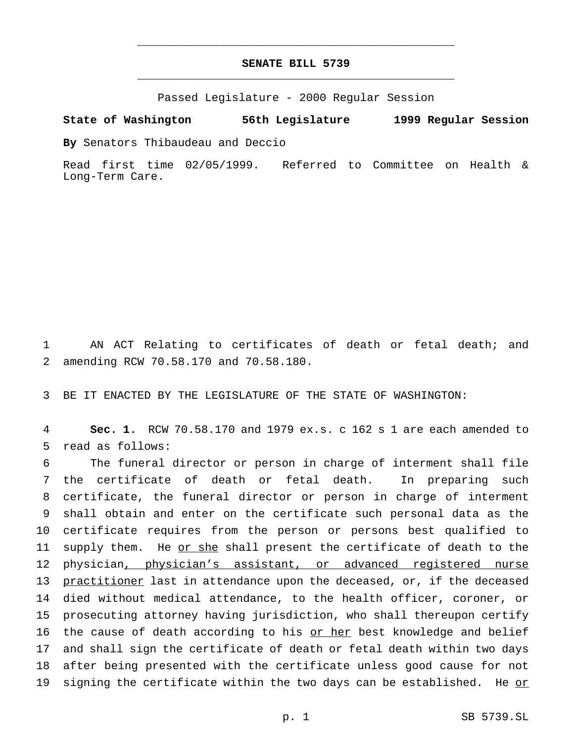## **SENATE BILL 5739** \_\_\_\_\_\_\_\_\_\_\_\_\_\_\_\_\_\_\_\_\_\_\_\_\_\_\_\_\_\_\_\_\_\_\_\_\_\_\_\_\_\_\_\_\_\_\_

\_\_\_\_\_\_\_\_\_\_\_\_\_\_\_\_\_\_\_\_\_\_\_\_\_\_\_\_\_\_\_\_\_\_\_\_\_\_\_\_\_\_\_\_\_\_\_

Passed Legislature - 2000 Regular Session

### **State of Washington 56th Legislature 1999 Regular Session**

**By** Senators Thibaudeau and Deccio

Read first time 02/05/1999. Referred to Committee on Health & Long-Term Care.

1 AN ACT Relating to certificates of death or fetal death; and 2 amending RCW 70.58.170 and 70.58.180.

3 BE IT ENACTED BY THE LEGISLATURE OF THE STATE OF WASHINGTON:

4 **Sec. 1.** RCW 70.58.170 and 1979 ex.s. c 162 s 1 are each amended to 5 read as follows:

 The funeral director or person in charge of interment shall file the certificate of death or fetal death. In preparing such certificate, the funeral director or person in charge of interment shall obtain and enter on the certificate such personal data as the certificate requires from the person or persons best qualified to 11 supply them. He or she shall present the certificate of death to the 12 physician, physician's assistant, or advanced registered nurse 13 practitioner last in attendance upon the deceased, or, if the deceased died without medical attendance, to the health officer, coroner, or prosecuting attorney having jurisdiction, who shall thereupon certify 16 the cause of death according to his or her best knowledge and belief and shall sign the certificate of death or fetal death within two days after being presented with the certificate unless good cause for not 19 signing the certificate within the two days can be established. He  $o**r**$